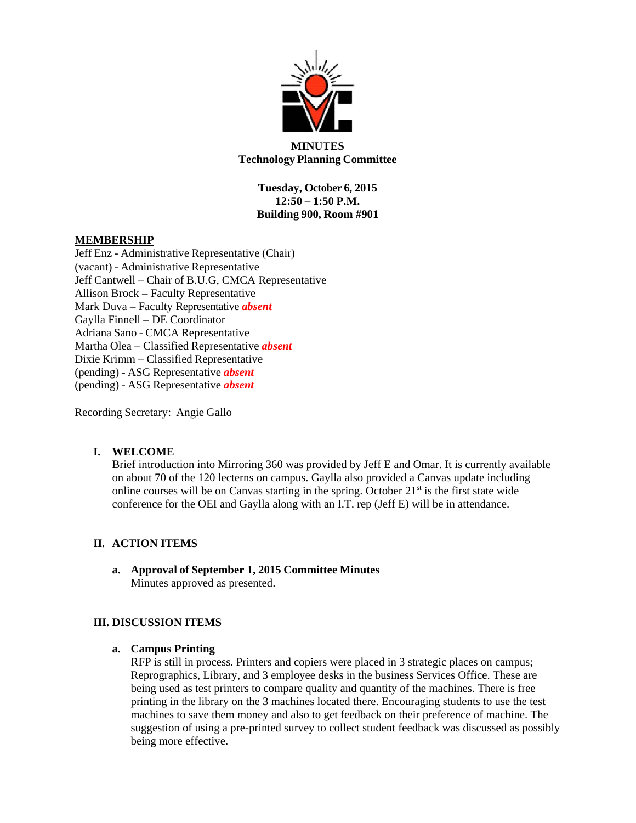

#### **MINUTES Technology Planning Committee**

**Tuesday, October 6, 2015 12:50 – 1:50 P.M. Building 900, Room #901**

### **MEMBERSHIP**

Jeff Enz - Administrative Representative (Chair) (vacant) - Administrative Representative Jeff Cantwell – Chair of B.U.G, CMCA Representative Allison Brock – Faculty Representative Mark Duva – Faculty Representative *absent* Gaylla Finnell – DE Coordinator Adriana Sano - CMCA Representative Martha Olea – Classified Representative *absent* Dixie Krimm – Classified Representative (pending) - ASG Representative *absent* (pending) - ASG Representative *absent*

Recording Secretary: Angie Gallo

## **I. WELCOME**

Brief introduction into Mirroring 360 was provided by Jeff E and Omar. It is currently available on about 70 of the 120 lecterns on campus. Gaylla also provided a Canvas update including online courses will be on Canvas starting in the spring. October  $21<sup>st</sup>$  is the first state wide conference for the OEI and Gaylla along with an I.T. rep (Jeff E) will be in attendance.

#### **II. ACTION ITEMS**

**a. Approval of September 1, 2015 Committee Minutes**  Minutes approved as presented.

#### **III. DISCUSSION ITEMS**

**a. Campus Printing** 

RFP is still in process. Printers and copiers were placed in 3 strategic places on campus; Reprographics, Library, and 3 employee desks in the business Services Office. These are being used as test printers to compare quality and quantity of the machines. There is free printing in the library on the 3 machines located there. Encouraging students to use the test machines to save them money and also to get feedback on their preference of machine. The suggestion of using a pre-printed survey to collect student feedback was discussed as possibly being more effective.